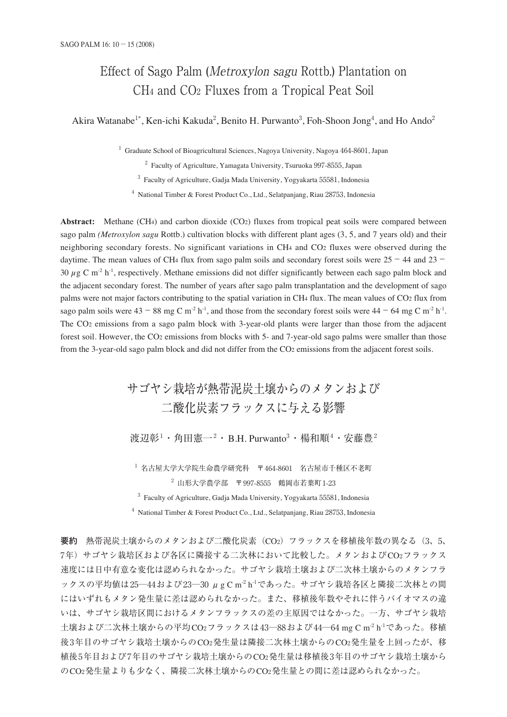# Effect of Sago Palm (Metroxylon sagu Rottb.) Plantation on CH4 and CO2 Fluxes from a Tropical Peat Soil

Akira Watanabe<sup>1\*</sup>, Ken-ichi Kakuda<sup>2</sup>, Benito H. Purwanto<sup>3</sup>, Foh-Shoon Jong<sup>4</sup>, and Ho Ando<sup>2</sup>

<sup>1</sup> Graduate School of Bioagricultural Sciences, Nagoya University, Nagoya 464-8601, Japan

<sup>2</sup> Faculty of Agriculture, Yamagata University, Tsuruoka 997-8555, Japan

<sup>3</sup> Faculty of Agriculture, Gadja Mada University, Yogyakarta 55581, Indonesia

<sup>4</sup> National Timber & Forest Product Co., Ltd., Selatpanjang, Riau 28753, Indonesia

**Abstract:** Methane (CH4) and carbon dioxide (CO2) fluxes from tropical peat soils were compared between sago palm *(Metroxylon sagu* Rottb.) cultivation blocks with different plant ages (3, 5, and 7 years old) and their neighboring secondary forests. No significant variations in CH4 and CO2 fluxes were observed during the daytime. The mean values of CH4 flux from sago palm soils and secondary forest soils were 25−44 and 23− 30  $\mu$ g C m<sup>-2</sup> h<sup>-1</sup>, respectively. Methane emissions did not differ significantly between each sago palm block and the adjacent secondary forest. The number of years after sago palm transplantation and the development of sago palms were not major factors contributing to the spatial variation in CH4 flux. The mean values of CO2 flux from sago palm soils were  $43 - 88$  mg C m<sup>-2</sup> h<sup>-1</sup>, and those from the secondary forest soils were  $44 - 64$  mg C m<sup>-2</sup> h<sup>-1</sup>. The CO2 emissions from a sago palm block with 3-year-old plants were larger than those from the adjacent forest soil. However, the CO2 emissions from blocks with 5- and 7-year-old sago palms were smaller than those from the 3-year-old sago palm block and did not differ from the CO2 emissions from the adjacent forest soils.

> サゴヤシ栽培が熱帯泥炭土壌からのメタンおよび 二酸化炭素フラックスに与える影響 渡辺彰<sup>1</sup>・角田憲一 $^2$ ・B.H. Purwanto $^3$ ・楊和順 $^4$ ・安藤豊 $^2$

<sup>1</sup> 名古屋大学大学院生命農学研究科 〒464-8601 名古屋市千種区不老町  $2\,$  山形大学農学部 〒997-8555 鶴岡市若葉町1-23

<sup>3</sup> Faculty of Agriculture, Gadja Mada University, Yogyakarta 55581, Indonesia

 $4$  National Timber & Forest Product Co., Ltd., Selatpanjang, Riau 28753, Indonesia

**要約** 熱帯泥炭土壌からのメタンおよび二酸化炭素(CO2)フラックスを移植後年数の異なる(3、5、 7年)サゴヤシ栽培区および各区に隣接する二次林において比較した。メタンおよびCO2フラックス 速度には日中有意な変化は認められなかった。サゴヤシ栽培土壌および二次林土壌からのメタンフラ ックスの平均値は25—44および23—30 μg C m<sup>-2</sup> h<sup>-1</sup>であった。サゴヤシ栽培各区と隣接二次林との間 にはいずれもメタン発生量に差は認められなかった。また、移植後年数やそれに伴うバイオマスの違 いは、サゴヤシ栽培区間におけるメタンフラックスの差の主原因ではなかった。一方、サゴヤシ栽培  $\pm$ 壌および二次林土壌からの平均CO2フラックスは43—88および44—64 mg C m<sup>-2</sup> h<sup>-1</sup>であった。移植 後3年目のサゴヤシ栽培土壌からのCO2発生量は隣接二次林土壌からのCO2発生量を上回ったが、移 植後5年目および7年目のサゴヤシ栽培土壌からのCO2発生量は移植後3年目のサゴヤシ栽培土壌から のCO2発生量よりも少なく、隣接二次林土壌からのCO2発生量との間に差は認められなかった。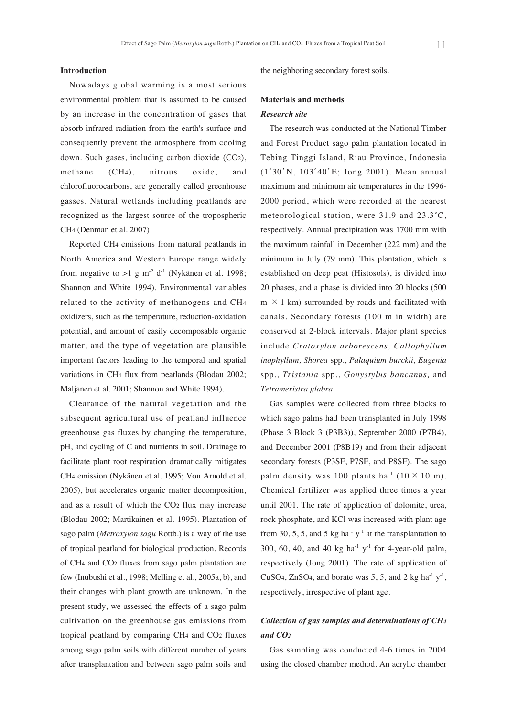## **Introduction**

Nowadays global warming is a most serious environmental problem that is assumed to be caused by an increase in the concentration of gases that absorb infrared radiation from the earth's surface and consequently prevent the atmosphere from cooling down. Such gases, including carbon dioxide (CO2), methane (CH4), nitrous oxide, and chlorofluorocarbons, are generally called greenhouse gasses. Natural wetlands including peatlands are recognized as the largest source of the tropospheric CH4 (Denman et al. 2007).

Reported CH4 emissions from natural peatlands in North America and Western Europe range widely from negative to >1 g m<sup>-2</sup> d<sup>-1</sup> (Nykänen et al. 1998; Shannon and White 1994). Environmental variables related to the activity of methanogens and CH4 oxidizers, such as the temperature, reduction-oxidation potential, and amount of easily decomposable organic matter, and the type of vegetation are plausible important factors leading to the temporal and spatial variations in CH4 flux from peatlands (Blodau 2002; Maljanen et al. 2001; Shannon and White 1994).

Clearance of the natural vegetation and the subsequent agricultural use of peatland influence greenhouse gas fluxes by changing the temperature, pH, and cycling of C and nutrients in soil. Drainage to facilitate plant root respiration dramatically mitigates CH4 emission (Nykänen et al. 1995; Von Arnold et al. 2005), but accelerates organic matter decomposition, and as a result of which the CO2 flux may increase (Blodau 2002; Martikainen et al. 1995). Plantation of sago palm (*Metroxylon sagu* Rottb.) is a way of the use of tropical peatland for biological production. Records of CH4 and CO2 fluxes from sago palm plantation are few (Inubushi et al., 1998; Melling et al., 2005a, b), and their changes with plant growth are unknown. In the present study, we assessed the effects of a sago palm cultivation on the greenhouse gas emissions from tropical peatland by comparing CH4 and CO2 fluxes among sago palm soils with different number of years after transplantation and between sago palm soils and

the neighboring secondary forest soils.

### **Materials and methods**

### *Research site*

The research was conducted at the National Timber and Forest Product sago palm plantation located in Tebing Tinggi Island, Riau Province, Indonesia (1˚30'N, 103˚40'E; Jong 2001). Mean annual maximum and minimum air temperatures in the 1996- 2000 period, which were recorded at the nearest meteorological station, were 31.9 and 23.3˚C, respectively. Annual precipitation was 1700 mm with the maximum rainfall in December (222 mm) and the minimum in July (79 mm). This plantation, which is established on deep peat (Histosols), is divided into 20 phases, and a phase is divided into 20 blocks (500  $m \times 1$  km) surrounded by roads and facilitated with canals. Secondary forests (100 m in width) are conserved at 2-block intervals. Major plant species include *Cratoxylon arborescens, Callophyllum inophyllum, Shorea* spp., *Palaquium burckii, Eugenia* spp., *Tristania* spp., *Gonystylus bancanus,* and *Tetrameristra glabra.* 

Gas samples were collected from three blocks to which sago palms had been transplanted in July 1998 (Phase 3 Block 3 (P3B3)), September 2000 (P7B4), and December 2001 (P8B19) and from their adjacent secondary forests (P3SF, P7SF, and P8SF). The sago palm density was 100 plants ha<sup>-1</sup> (10  $\times$  10 m). Chemical fertilizer was applied three times a year until 2001. The rate of application of dolomite, urea, rock phosphate, and KCl was increased with plant age from 30, 5, 5, and 5 kg ha<sup>-1</sup> y<sup>-1</sup> at the transplantation to 300, 60, 40, and 40 kg ha<sup>-1</sup> y<sup>-1</sup> for 4-year-old palm, respectively (Jong 2001). The rate of application of CuSO<sub>4</sub>, ZnSO<sub>4</sub>, and borate was 5, 5, and 2 kg ha<sup>-1</sup>  $y$ <sup>-1</sup>, respectively, irrespective of plant age.

# *Collection of gas samples and determinations of CH4 and CO2*

Gas sampling was conducted 4-6 times in 2004 using the closed chamber method. An acrylic chamber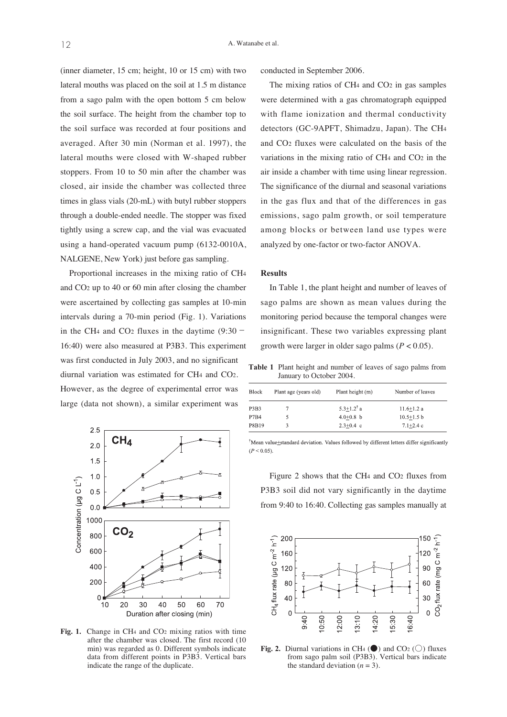(inner diameter, 15 cm; height, 10 or 15 cm) with two lateral mouths was placed on the soil at 1.5 m distance from a sago palm with the open bottom 5 cm below the soil surface. The height from the chamber top to the soil surface was recorded at four positions and averaged. After 30 min (Norman et al. 1997), the lateral mouths were closed with W-shaped rubber stoppers. From 10 to 50 min after the chamber was closed, air inside the chamber was collected three times in glass vials (20-mL) with butyl rubber stoppers through a double-ended needle. The stopper was fixed tightly using a screw cap, and the vial was evacuated using a hand-operated vacuum pump (6132-0010A, NALGENE, New York) just before gas sampling.

Proportional increases in the mixing ratio of CH4 and CO2 up to 40 or 60 min after closing the chamber were ascertained by collecting gas samples at 10-min intervals during a 70-min period (Fig. 1). Variations in the CH4 and CO2 fluxes in the daytime (9:30− 16:40) were also measured at P3B3. This experiment was first conducted in July 2003, and no significant diurnal variation was estimated for CH4 and CO2. However, as the degree of experimental error was large (data not shown), a similar experiment was



Fig. 1. Change in CH<sub>4</sub> and CO<sub>2</sub> mixing ratios with time after the chamber was closed. The first record (10 min) was regarded as 0. Different symbols indicate data from different points in P3B3. Vertical bars indicate the range of the duplicate.

conducted in September 2006.

The mixing ratios of CH<sub>4</sub> and CO<sub>2</sub> in gas samples were determined with a gas chromatograph equipped with flame ionization and thermal conductivity detectors (GC-9APFT, Shimadzu, Japan). The CH4 and CO2 fluxes were calculated on the basis of the variations in the mixing ratio of CH4 and CO2 in the air inside a chamber with time using linear regression. The significance of the diurnal and seasonal variations in the gas flux and that of the differences in gas emissions, sago palm growth, or soil temperature among blocks or between land use types were analyzed by one-factor or two-factor ANOVA.

# **Results**

In Table 1, the plant height and number of leaves of sago palms are shown as mean values during the monitoring period because the temporal changes were insignificant. These two variables expressing plant growth were larger in older sago palms (*P* < 0.05).

**Table 1** Plant height and number of leaves of sago palms from January to October 2004.

| <b>Block</b> | Plant age (years old) | Plant height (m)           | Number of leaves |  |
|--------------|-----------------------|----------------------------|------------------|--|
| P3B3         |                       | $5.3 + 1.2$ <sup>†</sup> a | $11.6 + 1.2a$    |  |
| <b>P7B4</b>  |                       | $4.0 + 0.8$ b              | $10.5 + 1.5$ b   |  |
| P8B19        |                       | $2.3+0.4$ c                | $7.1 + 2.4c$     |  |

<sup>†</sup>Mean value±standard deviation. Values followed by different letters differ significantly  $(P < 0.05)$ 

Figure 2 shows that the CH4 and CO2 fluxes from P3B3 soil did not vary significantly in the daytime from 9:40 to 16:40. Collecting gas samples manually at



**Fig. 2.** Diurnal variations in CH<sub>4</sub> ( $\bullet$ ) and CO<sub>2</sub> ( $\circ$ ) fluxes from sago palm soil (P3B3). Vertical bars indicate the standard deviation  $(n = 3)$ .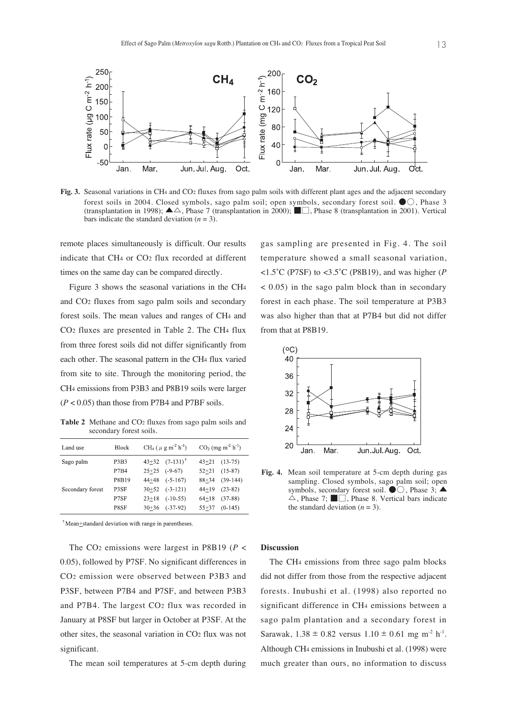

**Fig. 3.** Seasonal variations in CH<sub>4</sub> and CO<sub>2</sub> fluxes from sago palm soils with different plant ages and the adjacent secondary forest soils in 2004. Closed symbols, sago palm soil; open symbols, secondary forest soil. ●○, Phase 3 (transplantation in 1998);  $\blacktriangle \triangle$ , Phase 7 (transplantation in 2000);  $\blacksquare$ , Phase 8 (transplantation in 2001). Vertical bars indicate the standard deviation  $(n = 3)$ .

remote places simultaneously is difficult. Our results indicate that CH4 or CO2 flux recorded at different times on the same day can be compared directly.

Figure 3 shows the seasonal variations in the CH4 and CO2 fluxes from sago palm soils and secondary forest soils. The mean values and ranges of CH4 and CO2 fluxes are presented in Table 2. The CH4 flux from three forest soils did not differ significantly from each other. The seasonal pattern in the CH4 flux varied from site to site. Through the monitoring period, the CH4 emissions from P3B3 and P8B19 soils were larger (*P* < 0.05) than those from P7B4 and P7BF soils.

**Table 2** Methane and CO2 fluxes from sago palm soils and secondary forest soils.

| Land use         | <b>Block</b>                  | $CH_4$ ( $\mu$ g m <sup>-2</sup> h <sup>-1</sup> ) |            | $CO2$ (mg m <sup>-2</sup> h <sup>-1</sup> ) |            |
|------------------|-------------------------------|----------------------------------------------------|------------|---------------------------------------------|------------|
| Sago palm        | P <sub>3</sub> B <sub>3</sub> | $43+32$ $(7-131)^{\dagger}$                        |            | $43 + 21$                                   | $(13-75)$  |
|                  | P7B4                          | $25+25$ (-9-67)                                    |            | $52 + 21$                                   | $(15-87)$  |
|                  | P8B19                         | $44+48$ $(-5.167)$                                 |            | $88 + 34$                                   | $(39-144)$ |
| Secondary forest | P <sub>3</sub> SF             | $30+52$ $(-3-121)$                                 |            | $44+19$                                     | $(23-82)$  |
|                  | P7SF                          | $23+18$                                            | $(-10-55)$ | $64+18$                                     | $(37-88)$  |
|                  | P8SF                          | $30+36$ $(37-92)$                                  |            | $55 + 37$                                   | $(0-145)$  |

<sup>†</sup>Mean<sup>+</sup>standard deviation with range in parentheses.

The CO2 emissions were largest in P8B19 (*P* < 0.05), followed by P7SF. No significant differences in CO2 emission were observed between P3B3 and P3SF, between P7B4 and P7SF, and between P3B3 and P7B4. The largest CO2 flux was recorded in January at P8SF but larger in October at P3SF. At the other sites, the seasonal variation in CO2 flux was not significant.

The mean soil temperatures at 5-cm depth during

gas sampling are presented in Fig. 4. The soil temperature showed a small seasonal variation, <1.5˚C (P7SF) to <3.5˚C (P8B19), and was higher (*P* < 0.05) in the sago palm block than in secondary forest in each phase. The soil temperature at P3B3 was also higher than that at P7B4 but did not differ from that at P8B19.



**Fig. 4.** Mean soil temperature at 5-cm depth during gas sampling. Closed symbols, sago palm soil; open symbols, secondary forest soil.  $\bullet \circlearrowright$ , Phase 3;  $\blacktriangle$  $\triangle$ , Phase 7;  $\Box$ , Phase 8. Vertical bars indicate the standard deviation  $(n = 3)$ .

### **Discussion**

The CH4 emissions from three sago palm blocks did not differ from those from the respective adjacent forests. Inubushi et al. (1998) also reported no significant difference in CH4 emissions between a sago palm plantation and a secondary forest in Sarawak,  $1.38 \pm 0.82$  versus  $1.10 \pm 0.61$  mg m<sup>-2</sup> h<sup>-1</sup>. Although CH4 emissions in Inubushi et al. (1998) were much greater than ours, no information to discuss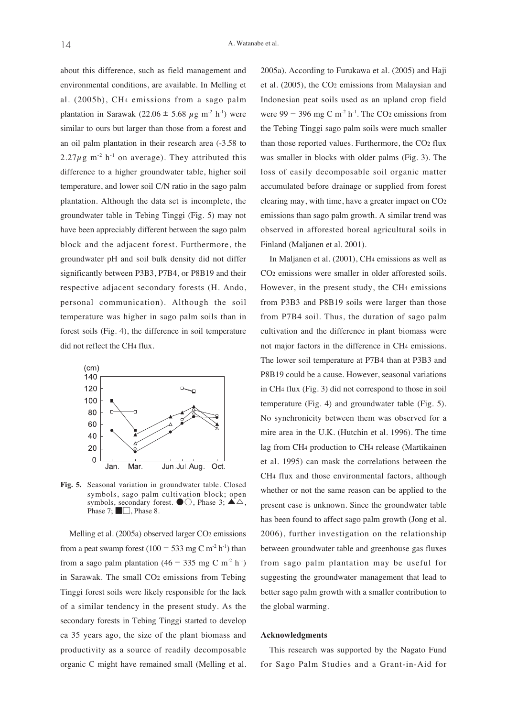about this difference, such as field management and environmental conditions, are available. In Melling et al. (2005b), CH4 emissions from a sago palm plantation in Sarawak (22.06  $\pm$  5.68  $\mu$ g m<sup>-2</sup> h<sup>-1</sup>) were similar to ours but larger than those from a forest and an oil palm plantation in their research area (-3.58 to  $2.27\mu$ g m<sup>-2</sup> h<sup>-1</sup> on average). They attributed this difference to a higher groundwater table, higher soil temperature, and lower soil C/N ratio in the sago palm plantation. Although the data set is incomplete, the groundwater table in Tebing Tinggi (Fig. 5) may not have been appreciably different between the sago palm block and the adjacent forest. Furthermore, the groundwater pH and soil bulk density did not differ significantly between P3B3, P7B4, or P8B19 and their respective adjacent secondary forests (H. Ando, personal communication). Although the soil temperature was higher in sago palm soils than in forest soils (Fig. 4), the difference in soil temperature did not reflect the CH4 flux.



**Fig. 5.** Seasonal variation in groundwater table. Closed symbols, sago palm cultivation block; open symbols, secondary forest.  $\bullet \circlearrowright$ , Phase 3;  $\blacktriangle \triangle$ , Phase 7; ■□, Phase 8.

Melling et al. (2005a) observed larger CO2 emissions from a peat swamp forest (100 − 533 mg C m<sup>-2</sup> h<sup>-1</sup>) than from a sago palm plantation (46 – 335 mg C m<sup>-2</sup> h<sup>-1</sup>) in Sarawak. The small CO2 emissions from Tebing Tinggi forest soils were likely responsible for the lack of a similar tendency in the present study. As the secondary forests in Tebing Tinggi started to develop ca 35 years ago, the size of the plant biomass and productivity as a source of readily decomposable organic C might have remained small (Melling et al. 2005a). According to Furukawa et al. (2005) and Haji et al. (2005), the CO2 emissions from Malaysian and Indonesian peat soils used as an upland crop field were 99  $-$  396 mg C m<sup>-2</sup> h<sup>-1</sup>. The CO<sub>2</sub> emissions from the Tebing Tinggi sago palm soils were much smaller than those reported values. Furthermore, the CO2 flux was smaller in blocks with older palms (Fig. 3). The loss of easily decomposable soil organic matter accumulated before drainage or supplied from forest clearing may, with time, have a greater impact on CO2 emissions than sago palm growth. A similar trend was observed in afforested boreal agricultural soils in Finland (Maljanen et al. 2001).

In Maljanen et al. (2001), CH4 emissions as well as CO2 emissions were smaller in older afforested soils. However, in the present study, the CH4 emissions from P3B3 and P8B19 soils were larger than those from P7B4 soil. Thus, the duration of sago palm cultivation and the difference in plant biomass were not major factors in the difference in CH4 emissions. The lower soil temperature at P7B4 than at P3B3 and P8B19 could be a cause. However, seasonal variations in CH4 flux (Fig. 3) did not correspond to those in soil temperature (Fig. 4) and groundwater table (Fig. 5). No synchronicity between them was observed for a mire area in the U.K. (Hutchin et al. 1996). The time lag from CH4 production to CH4 release (Martikainen et al. 1995) can mask the correlations between the CH4 flux and those environmental factors, although whether or not the same reason can be applied to the present case is unknown. Since the groundwater table has been found to affect sago palm growth (Jong et al. 2006), further investigation on the relationship between groundwater table and greenhouse gas fluxes from sago palm plantation may be useful for suggesting the groundwater management that lead to better sago palm growth with a smaller contribution to the global warming.

#### **Acknowledgments**

This research was supported by the Nagato Fund for Sago Palm Studies and a Grant-in-Aid for